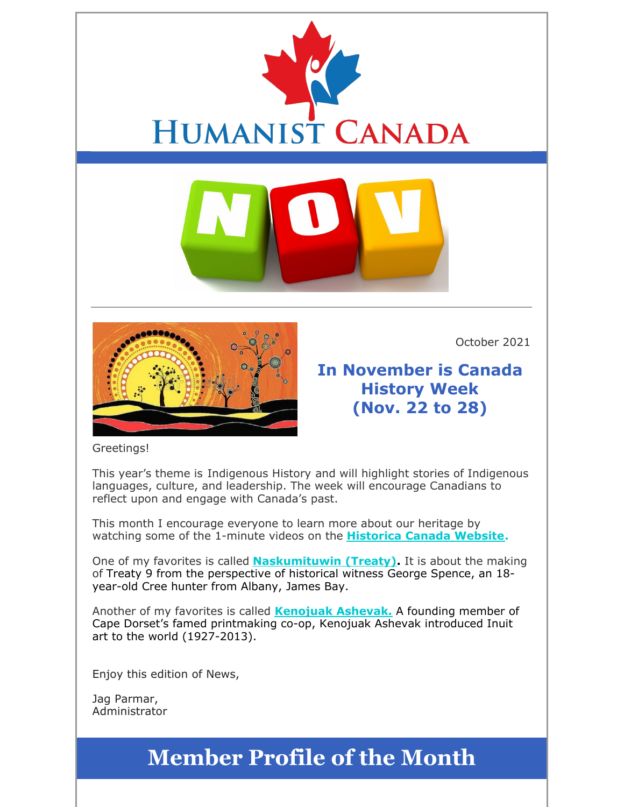



October 2021

**In November is Canada History Week (Nov. 22 to 28)**

#### Greetings!

This year's theme is Indigenous History and will highlight stories of Indigenous languages, culture, and leadership. The week will encourage Canadians to reflect upon and engage with Canada's past.

This month I encourage everyone to learn more about our heritage by watching some of the 1-minute videos on the **Historica Canada Website.**

One of my favorites is called **Naskumituwin (Treaty).** It is about the making of Treaty 9 from the perspective of historical witness George Spence, an 18 year-old Cree hunter from Albany, James Bay.

Another of my favorites is called **Kenojuak Ashevak.** A founding member of Cape Dorset's famed printmaking co-op, Kenojuak Ashevak introduced Inuit art to the world (1927-2013).

Enjoy this edition of News,

Jag Parmar, Administrator

## **Member Profile of the Month**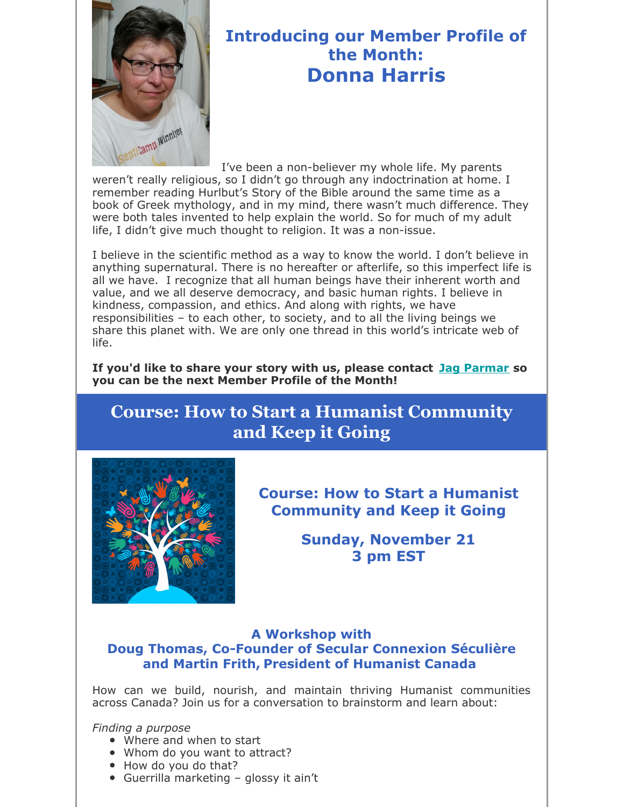

## **Introducing our Member Profile of the Month: Donna Harris**

I've been a non-believer my whole life. My parents weren't really religious, so I didn't go through any indoctrination at home. I remember reading Hurlbut's Story of the Bible around the same time as a book of Greek mythology, and in my mind, there wasn't much difference. They were both tales invented to help explain the world. So for much of my adult life, I didn't give much thought to religion. It was a non-issue.

I believe in the scientific method as a way to know the world. I don't believe in anything supernatural. There is no hereafter or afterlife, so this imperfect life is all we have. I recognize that all human beings have their inherent worth and value, and we all deserve democracy, and basic human rights. I believe in kindness, compassion, and ethics. And along with rights, we have responsibilities – to each other, to society, and to all the living beings we share this planet with. We are only one thread in this world's intricate web of life.

**If you'd like to share your story with us, please contact Jag Parmar so you can be the next Member Profile of the Month!**

## **Course: How to Start a Humanist Community and Keep it Going**



**Course: How to Start a Humanist Community and Keep it Going**

> **Sunday, November 21 3 pm EST**

#### **A Workshop with Doug Thomas, Co-Founder of Secular Connexion Séculière and Martin Frith, President of Humanist Canada**

How can we build, nourish, and maintain thriving Humanist communities across Canada? Join us for a conversation to brainstorm and learn about:

*Finding a purpose*

- Where and when to start
- Whom do you want to attract?
- How do you do that?
- Guerrilla marketing glossy it ain't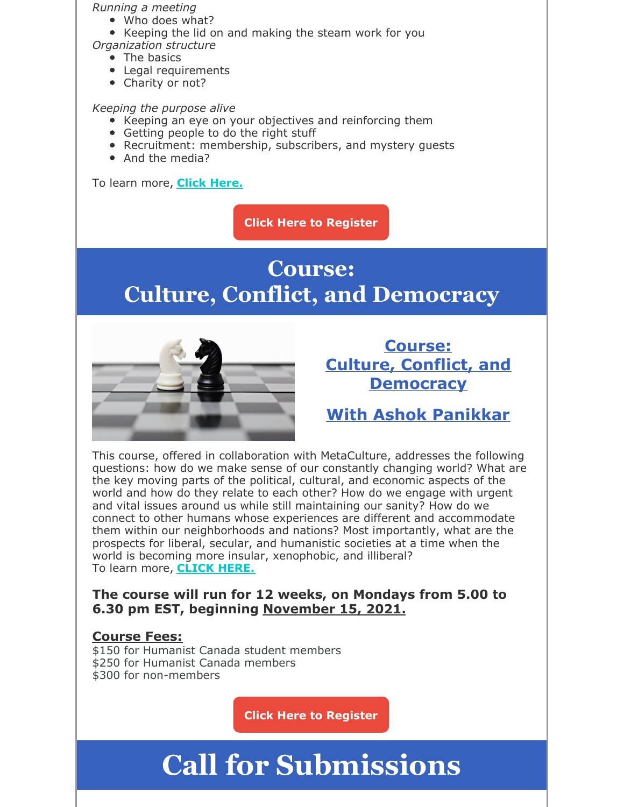#### *Running a meeting*

- Who does what?
- Keeping the lid on and making the steam work for you
- *Organization structure*
	- The basics
	- Legal requirements
	- Charity or not?

#### *Keeping the purpose alive*

- Keeping an eye on your objectives and reinforcing them
- Getting people to do the right stuff
- Recruitment: membership, subscribers, and mystery guests
- And the media?

To learn more, **Click Here.**

**Click Here to Register**

## **Course: Culture, Conflict, and Democracy**



### **Course: Culture, Conflict, and Democracy**

## **With Ashok Panikkar**

This course, offered in collaboration with MetaCulture, addresses the following questions: how do we make sense of our constantly changing world? What are the key moving parts of the political, cultural, and economic aspects of the world and how do they relate to each other? How do we engage with urgent and vital issues around us while still maintaining our sanity? How do we connect to other humans whose experiences are different and accommodate them within our neighborhoods and nations? Most importantly, what are the prospects for liberal, secular, and humanistic societies at a time when the world is becoming more insular, xenophobic, and illiberal? To learn more, **CLICK HERE.**

**The course will run for 12 weeks, on Mondays from 5.00 to 6.30 pm EST, beginning November 15, 2021.**

#### **Course Fees:**

\$150 for Humanist Canada student members \$250 for Humanist Canada members \$300 for non-members

**Click Here to Register**

# **Call for Submissions**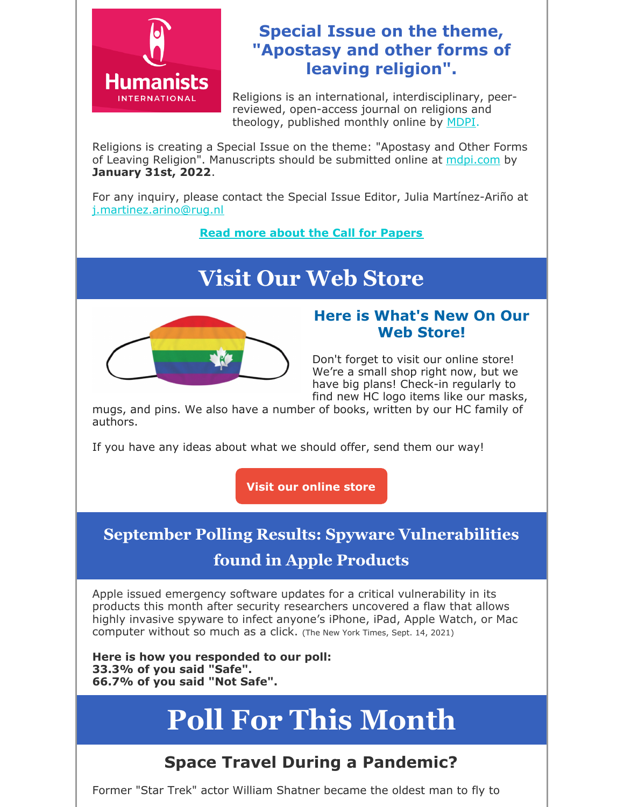

### **Special Issue on the theme, "Apostasy and other forms of leaving religion".**

Religions is an international, interdisciplinary, peerreviewed, open-access journal on religions and theology, published monthly online by MDPI.

Religions is creating a Special Issue on the theme: "Apostasy and Other Forms of Leaving Religion". Manuscripts should be submitted online at mdpi.com by **January 31st, 2022**.

For any inquiry, please contact the Special Issue Editor, Julia Martínez-Ariño at j.martinez.arino@rug.nl

**Read more about the Call for Papers**

## **Visit Our Web Store**



#### **Here is What's New On Our Web Store!**

Don't forget to visit our online store! We're a small shop right now, but we have big plans! Check-in regularly to find new HC logo items like our masks,

mugs, and pins. We also have a number of books, written by our HC family of authors.

If you have any ideas about what we should offer, send them our way!

**Visit our online store**

## **September Polling Results: Spyware Vulnerabilities**

### **found in Apple Products**

Apple issued emergency software updates for a critical vulnerability in its products this month after security researchers uncovered a flaw that allows highly invasive spyware to infect anyone's iPhone, iPad, Apple Watch, or Mac computer without so much as a click. (The New York Times, Sept. 14, 2021)

**Here is how you responded to our poll: 33.3% of you said "Safe". 66.7% of you said "Not Safe".**

# **Poll For This Month**

## **Space Travel During a Pandemic?**

Former "Star Trek" actor William Shatner became the oldest man to fly to